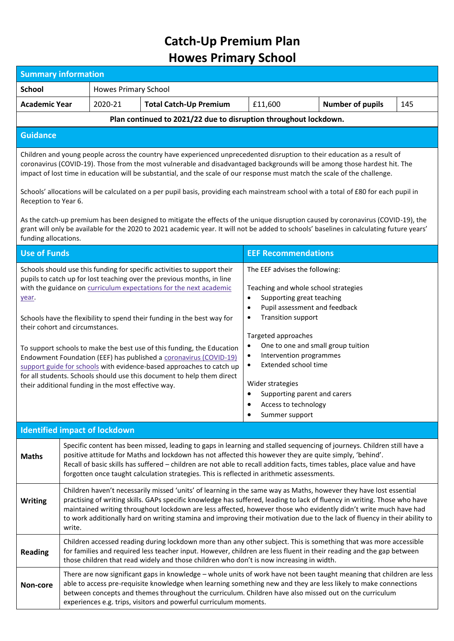## **Catch-Up Premium Plan Howes Primary School**

| <b>Summary information</b>                                                                                                                                                                                                                                                                                                                                                                                                                                                                                                  |                                                                                                                                                                                                                                                                                                                                                                                                                                                                                                             |                                                     |                                                                                                                                                                                                                                                                                                                                                                                                                                                                                                                                                                                                      |                                                                                                                                                                                                                                                                                                                                                                                                                                                               |                         |     |  |  |
|-----------------------------------------------------------------------------------------------------------------------------------------------------------------------------------------------------------------------------------------------------------------------------------------------------------------------------------------------------------------------------------------------------------------------------------------------------------------------------------------------------------------------------|-------------------------------------------------------------------------------------------------------------------------------------------------------------------------------------------------------------------------------------------------------------------------------------------------------------------------------------------------------------------------------------------------------------------------------------------------------------------------------------------------------------|-----------------------------------------------------|------------------------------------------------------------------------------------------------------------------------------------------------------------------------------------------------------------------------------------------------------------------------------------------------------------------------------------------------------------------------------------------------------------------------------------------------------------------------------------------------------------------------------------------------------------------------------------------------------|---------------------------------------------------------------------------------------------------------------------------------------------------------------------------------------------------------------------------------------------------------------------------------------------------------------------------------------------------------------------------------------------------------------------------------------------------------------|-------------------------|-----|--|--|
| <b>School</b>                                                                                                                                                                                                                                                                                                                                                                                                                                                                                                               | <b>Howes Primary School</b>                                                                                                                                                                                                                                                                                                                                                                                                                                                                                 |                                                     |                                                                                                                                                                                                                                                                                                                                                                                                                                                                                                                                                                                                      |                                                                                                                                                                                                                                                                                                                                                                                                                                                               |                         |     |  |  |
| <b>Academic Year</b>                                                                                                                                                                                                                                                                                                                                                                                                                                                                                                        |                                                                                                                                                                                                                                                                                                                                                                                                                                                                                                             | 2020-21                                             | <b>Total Catch-Up Premium</b>                                                                                                                                                                                                                                                                                                                                                                                                                                                                                                                                                                        | £11,600                                                                                                                                                                                                                                                                                                                                                                                                                                                       | <b>Number of pupils</b> | 145 |  |  |
| Plan continued to 2021/22 due to disruption throughout lockdown.                                                                                                                                                                                                                                                                                                                                                                                                                                                            |                                                                                                                                                                                                                                                                                                                                                                                                                                                                                                             |                                                     |                                                                                                                                                                                                                                                                                                                                                                                                                                                                                                                                                                                                      |                                                                                                                                                                                                                                                                                                                                                                                                                                                               |                         |     |  |  |
| <b>Guidance</b>                                                                                                                                                                                                                                                                                                                                                                                                                                                                                                             |                                                                                                                                                                                                                                                                                                                                                                                                                                                                                                             |                                                     |                                                                                                                                                                                                                                                                                                                                                                                                                                                                                                                                                                                                      |                                                                                                                                                                                                                                                                                                                                                                                                                                                               |                         |     |  |  |
| Children and young people across the country have experienced unprecedented disruption to their education as a result of<br>coronavirus (COVID-19). Those from the most vulnerable and disadvantaged backgrounds will be among those hardest hit. The<br>impact of lost time in education will be substantial, and the scale of our response must match the scale of the challenge.<br>Schools' allocations will be calculated on a per pupil basis, providing each mainstream school with a total of £80 for each pupil in |                                                                                                                                                                                                                                                                                                                                                                                                                                                                                                             |                                                     |                                                                                                                                                                                                                                                                                                                                                                                                                                                                                                                                                                                                      |                                                                                                                                                                                                                                                                                                                                                                                                                                                               |                         |     |  |  |
| Reception to Year 6.<br>As the catch-up premium has been designed to mitigate the effects of the unique disruption caused by coronavirus (COVID-19), the<br>grant will only be available for the 2020 to 2021 academic year. It will not be added to schools' baselines in calculating future years'<br>funding allocations.                                                                                                                                                                                                |                                                                                                                                                                                                                                                                                                                                                                                                                                                                                                             |                                                     |                                                                                                                                                                                                                                                                                                                                                                                                                                                                                                                                                                                                      |                                                                                                                                                                                                                                                                                                                                                                                                                                                               |                         |     |  |  |
| <b>Use of Funds</b>                                                                                                                                                                                                                                                                                                                                                                                                                                                                                                         |                                                                                                                                                                                                                                                                                                                                                                                                                                                                                                             |                                                     |                                                                                                                                                                                                                                                                                                                                                                                                                                                                                                                                                                                                      | <b>EEF Recommendations</b>                                                                                                                                                                                                                                                                                                                                                                                                                                    |                         |     |  |  |
| year.<br>their cohort and circumstances.                                                                                                                                                                                                                                                                                                                                                                                                                                                                                    |                                                                                                                                                                                                                                                                                                                                                                                                                                                                                                             | their additional funding in the most effective way. | Schools should use this funding for specific activities to support their<br>pupils to catch up for lost teaching over the previous months, in line<br>with the guidance on curriculum expectations for the next academic<br>Schools have the flexibility to spend their funding in the best way for<br>To support schools to make the best use of this funding, the Education<br>Endowment Foundation (EEF) has published a coronavirus (COVID-19)<br>support guide for schools with evidence-based approaches to catch up<br>for all students. Schools should use this document to help them direct | The EEF advises the following:<br>Teaching and whole school strategies<br>Supporting great teaching<br>$\bullet$<br>Pupil assessment and feedback<br>$\bullet$<br><b>Transition support</b><br>$\bullet$<br>Targeted approaches<br>One to one and small group tuition<br>$\bullet$<br>Intervention programmes<br>$\bullet$<br>Extended school time<br>$\bullet$<br>Wider strategies<br>Supporting parent and carers<br>Access to technology<br>Summer support |                         |     |  |  |
|                                                                                                                                                                                                                                                                                                                                                                                                                                                                                                                             |                                                                                                                                                                                                                                                                                                                                                                                                                                                                                                             | <b>Identified impact of lockdown</b>                |                                                                                                                                                                                                                                                                                                                                                                                                                                                                                                                                                                                                      |                                                                                                                                                                                                                                                                                                                                                                                                                                                               |                         |     |  |  |
| <b>Maths</b>                                                                                                                                                                                                                                                                                                                                                                                                                                                                                                                | Specific content has been missed, leading to gaps in learning and stalled sequencing of journeys. Children still have a<br>positive attitude for Maths and lockdown has not affected this however they are quite simply, 'behind'.<br>Recall of basic skills has suffered - children are not able to recall addition facts, times tables, place value and have<br>forgotten once taught calculation strategies. This is reflected in arithmetic assessments.                                                |                                                     |                                                                                                                                                                                                                                                                                                                                                                                                                                                                                                                                                                                                      |                                                                                                                                                                                                                                                                                                                                                                                                                                                               |                         |     |  |  |
| <b>Writing</b>                                                                                                                                                                                                                                                                                                                                                                                                                                                                                                              | Children haven't necessarily missed 'units' of learning in the same way as Maths, however they have lost essential<br>practising of writing skills. GAPs specific knowledge has suffered, leading to lack of fluency in writing. Those who have<br>maintained writing throughout lockdown are less affected, however those who evidently didn't write much have had<br>to work additionally hard on writing stamina and improving their motivation due to the lack of fluency in their ability to<br>write. |                                                     |                                                                                                                                                                                                                                                                                                                                                                                                                                                                                                                                                                                                      |                                                                                                                                                                                                                                                                                                                                                                                                                                                               |                         |     |  |  |
| <b>Reading</b>                                                                                                                                                                                                                                                                                                                                                                                                                                                                                                              | Children accessed reading during lockdown more than any other subject. This is something that was more accessible<br>for families and required less teacher input. However, children are less fluent in their reading and the gap between<br>those children that read widely and those children who don't is now increasing in width.                                                                                                                                                                       |                                                     |                                                                                                                                                                                                                                                                                                                                                                                                                                                                                                                                                                                                      |                                                                                                                                                                                                                                                                                                                                                                                                                                                               |                         |     |  |  |
| Non-core                                                                                                                                                                                                                                                                                                                                                                                                                                                                                                                    | There are now significant gaps in knowledge - whole units of work have not been taught meaning that children are less<br>able to access pre-requisite knowledge when learning something new and they are less likely to make connections<br>between concepts and themes throughout the curriculum. Children have also missed out on the curriculum<br>experiences e.g. trips, visitors and powerful curriculum moments.                                                                                     |                                                     |                                                                                                                                                                                                                                                                                                                                                                                                                                                                                                                                                                                                      |                                                                                                                                                                                                                                                                                                                                                                                                                                                               |                         |     |  |  |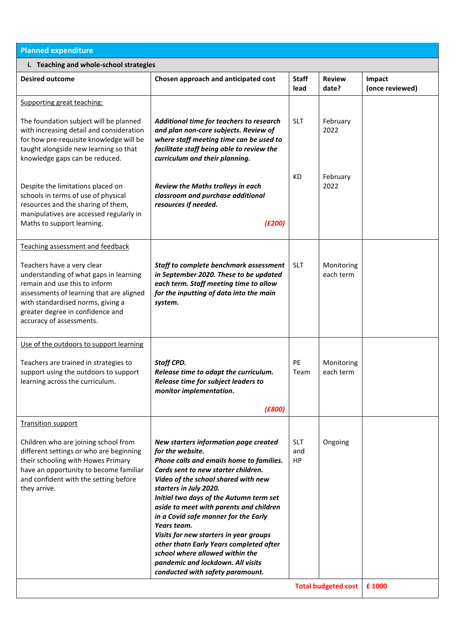| <b>Planned expenditure</b>                                                                                                                                                                                                                                                                 |                                                                                                                                                                                                                                                                                                                                                                                                                                                                                                                                                             |                                |                                       |                           |  |  |  |  |
|--------------------------------------------------------------------------------------------------------------------------------------------------------------------------------------------------------------------------------------------------------------------------------------------|-------------------------------------------------------------------------------------------------------------------------------------------------------------------------------------------------------------------------------------------------------------------------------------------------------------------------------------------------------------------------------------------------------------------------------------------------------------------------------------------------------------------------------------------------------------|--------------------------------|---------------------------------------|---------------------------|--|--|--|--|
| i. Teaching and whole-school strategies                                                                                                                                                                                                                                                    |                                                                                                                                                                                                                                                                                                                                                                                                                                                                                                                                                             |                                |                                       |                           |  |  |  |  |
| <b>Desired outcome</b>                                                                                                                                                                                                                                                                     | Chosen approach and anticipated cost                                                                                                                                                                                                                                                                                                                                                                                                                                                                                                                        | <b>Staff</b><br>lead           | <b>Review</b><br>date?                | Impact<br>(once reviewed) |  |  |  |  |
| Supporting great teaching:                                                                                                                                                                                                                                                                 |                                                                                                                                                                                                                                                                                                                                                                                                                                                                                                                                                             |                                |                                       |                           |  |  |  |  |
| The foundation subject will be planned<br>with increasing detail and consideration<br>for how pre-requisite knowledge will be<br>taught alongside new learning so that<br>knowledge gaps can be reduced.                                                                                   | Additional time for teachers to research<br>and plan non-core subjects. Review of<br>where staff meeting time can be used to<br>facilitate staff being able to review the<br>curriculum and their planning.                                                                                                                                                                                                                                                                                                                                                 | <b>SLT</b>                     | February<br>2022                      |                           |  |  |  |  |
| Despite the limitations placed on<br>schools in terms of use of physical<br>resources and the sharing of them,<br>manipulatives are accessed regularly in<br>Maths to support learning.                                                                                                    | Review the Maths trolleys in each<br>classroom and purchase additional<br>resources if needed.<br>(E200)                                                                                                                                                                                                                                                                                                                                                                                                                                                    | KD                             | February<br>2022                      |                           |  |  |  |  |
| Teaching assessment and feedback<br>Teachers have a very clear<br>understanding of what gaps in learning<br>remain and use this to inform<br>assessments of learning that are aligned<br>with standardised norms, giving a<br>greater degree in confidence and<br>accuracy of assessments. | Staff to complete benchmark assessment<br>in September 2020. These to be updated<br>each term. Staff meeting time to allow<br>for the inputting of data into the main<br>system.                                                                                                                                                                                                                                                                                                                                                                            | <b>SLT</b>                     | Monitoring<br>each term               |                           |  |  |  |  |
| Use of the outdoors to support learning<br>Teachers are trained in strategies to<br>support using the outdoors to support<br>learning across the curriculum.                                                                                                                               | Staff CPD.<br>Release time to adapt the curriculum.<br>Release time for subject leaders to<br>monitor implementation.<br>(E800)                                                                                                                                                                                                                                                                                                                                                                                                                             | PE<br>Team                     | Monitoring<br>each term               |                           |  |  |  |  |
| <b>Transition support</b>                                                                                                                                                                                                                                                                  |                                                                                                                                                                                                                                                                                                                                                                                                                                                                                                                                                             |                                |                                       |                           |  |  |  |  |
| Children who are joining school from<br>different settings or who are beginning<br>their schooling with Howes Primary<br>have an opportunity to become familiar<br>and confident with the setting before<br>they arrive.                                                                   | New starters information page created<br>for the website.<br>Phone calls and emails home to families.<br>Cards sent to new starter children.<br>Video of the school shared with new<br>starters in July 2020.<br>Initial two days of the Autumn term set<br>aside to meet with parents and children<br>in a Covid safe manner for the Early<br>Years team.<br>Visits for new starters in year groups<br>other thatn Early Years completed after<br>school where allowed within the<br>pandemic and lockdown. All visits<br>conducted with safety paramount. | <b>SLT</b><br>and<br><b>HP</b> | Ongoing<br><b>Total budgeted cost</b> |                           |  |  |  |  |
|                                                                                                                                                                                                                                                                                            | £ 1000                                                                                                                                                                                                                                                                                                                                                                                                                                                                                                                                                      |                                |                                       |                           |  |  |  |  |